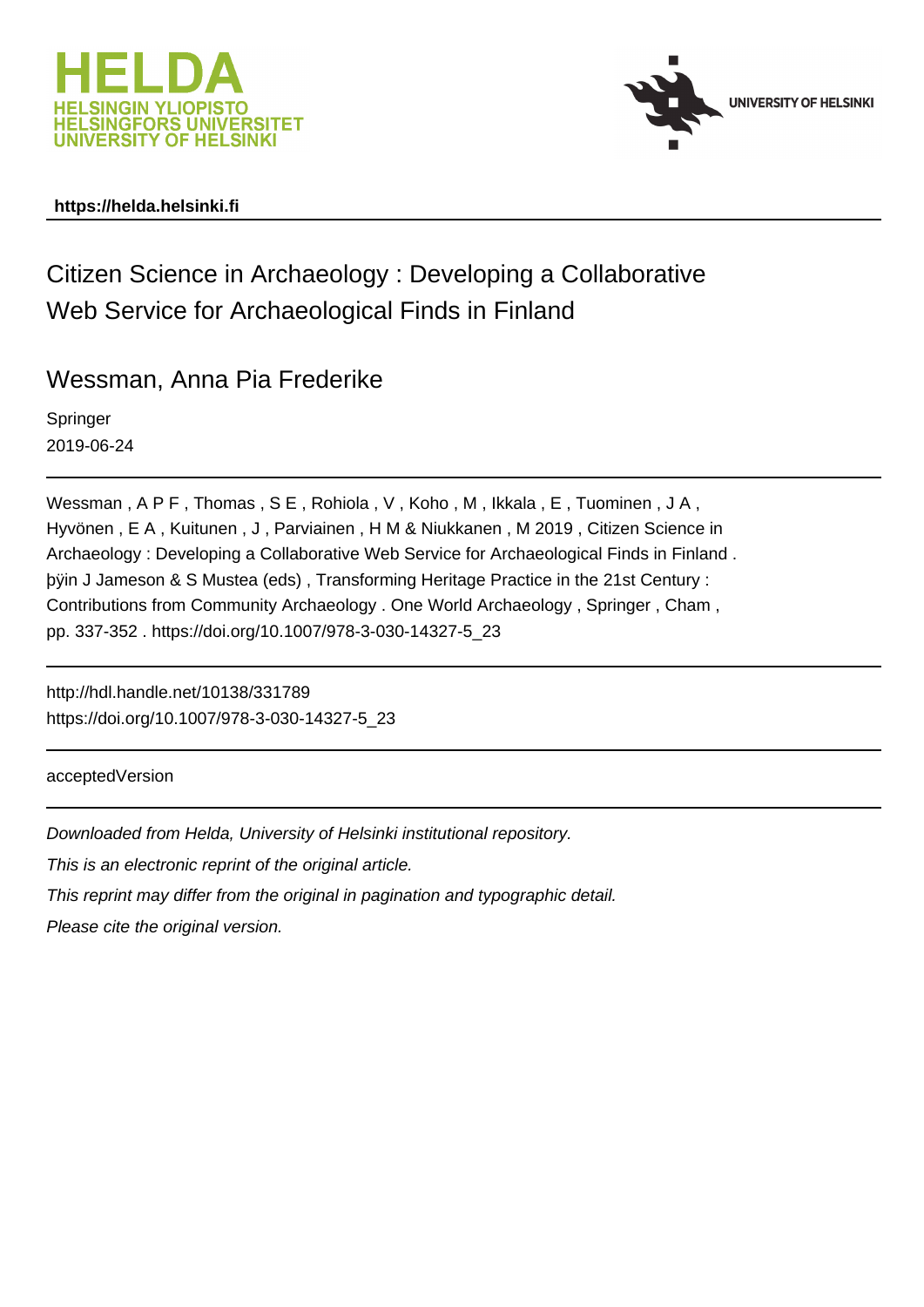



# **https://helda.helsinki.fi**

# Citizen Science in Archaeology : Developing a Collaborative Web Service for Archaeological Finds in Finland

Wessman, Anna Pia Frederike

Springer 2019-06-24

Wessman, A P F, Thomas, S E, Rohiola, V, Koho, M, Ikkala, E, Tuominen, J A, Hyvönen , E A , Kuitunen , J , Parviainen , H M & Niukkanen , M 2019 , Citizen Science in Archaeology : Developing a Collaborative Web Service for Archaeological Finds in Finland . þÿin J Jameson & S Mustea-(eds), Transforming Heritage Practice in the Contributions from Community Archaeology . One World Archaeology , Springer , Cham , pp. 337-352 . https://doi.org/10.1007/978-3-030-14327-5\_23

http://hdl.handle.net/10138/331789 https://doi.org/10.1007/978-3-030-14327-5\_23

acceptedVersion

Downloaded from Helda, University of Helsinki institutional repository.

This is an electronic reprint of the original article.

This reprint may differ from the original in pagination and typographic detail.

Please cite the original version.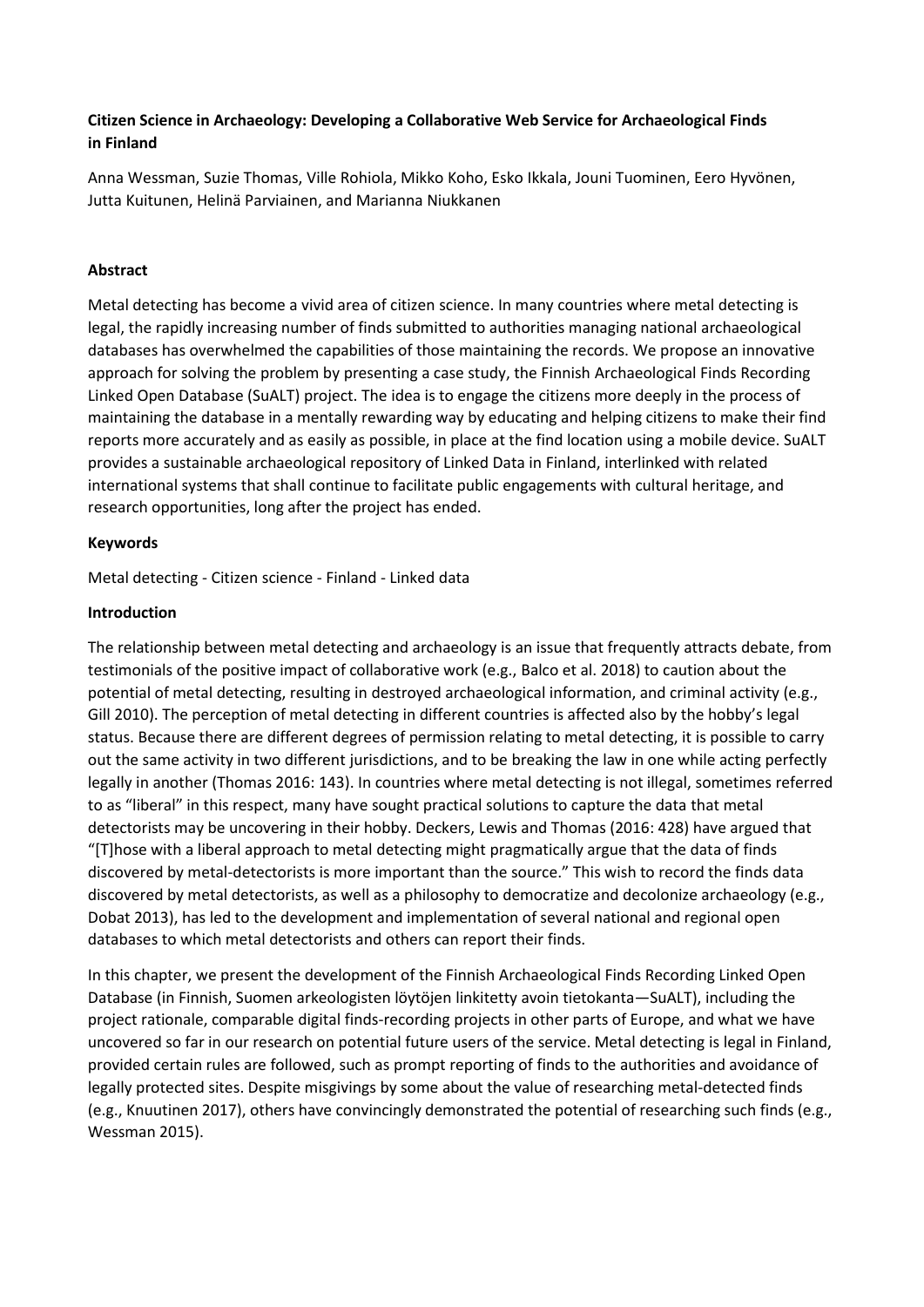# **Citizen Science in Archaeology: Developing a Collaborative Web Service for Archaeological Finds in Finland**

Anna Wessman, Suzie Thomas, Ville Rohiola, Mikko Koho, Esko Ikkala, Jouni Tuominen, Eero Hyvönen, Jutta Kuitunen, Helinä Parviainen, and Marianna Niukkanen

## **Abstract**

Metal detecting has become a vivid area of citizen science. In many countries where metal detecting is legal, the rapidly increasing number of finds submitted to authorities managing national archaeological databases has overwhelmed the capabilities of those maintaining the records. We propose an innovative approach for solving the problem by presenting a case study, the Finnish Archaeological Finds Recording Linked Open Database (SuALT) project. The idea is to engage the citizens more deeply in the process of maintaining the database in a mentally rewarding way by educating and helping citizens to make their find reports more accurately and as easily as possible, in place at the find location using a mobile device. SuALT provides a sustainable archaeological repository of Linked Data in Finland, interlinked with related international systems that shall continue to facilitate public engagements with cultural heritage, and research opportunities, long after the project has ended.

#### **Keywords**

Metal detecting - Citizen science - Finland - Linked data

#### **Introduction**

The relationship between metal detecting and archaeology is an issue that frequently attracts debate, from testimonials of the positive impact of collaborative work (e.g., Balco et al. 2018) to caution about the potential of metal detecting, resulting in destroyed archaeological information, and criminal activity (e.g., Gill 2010). The perception of metal detecting in different countries is affected also by the hobby's legal status. Because there are different degrees of permission relating to metal detecting, it is possible to carry out the same activity in two different jurisdictions, and to be breaking the law in one while acting perfectly legally in another (Thomas 2016: 143). In countries where metal detecting is not illegal, sometimes referred to as "liberal" in this respect, many have sought practical solutions to capture the data that metal detectorists may be uncovering in their hobby. Deckers, Lewis and Thomas (2016: 428) have argued that "[T]hose with a liberal approach to metal detecting might pragmatically argue that the data of finds discovered by metal-detectorists is more important than the source." This wish to record the finds data discovered by metal detectorists, as well as a philosophy to democratize and decolonize archaeology (e.g., Dobat 2013), has led to the development and implementation of several national and regional open databases to which metal detectorists and others can report their finds.

In this chapter, we present the development of the Finnish Archaeological Finds Recording Linked Open Database (in Finnish, Suomen arkeologisten löytöjen linkitetty avoin tietokanta—SuALT), including the project rationale, comparable digital finds-recording projects in other parts of Europe, and what we have uncovered so far in our research on potential future users of the service. Metal detecting is legal in Finland, provided certain rules are followed, such as prompt reporting of finds to the authorities and avoidance of legally protected sites. Despite misgivings by some about the value of researching metal-detected finds (e.g., Knuutinen 2017), others have convincingly demonstrated the potential of researching such finds (e.g., Wessman 2015).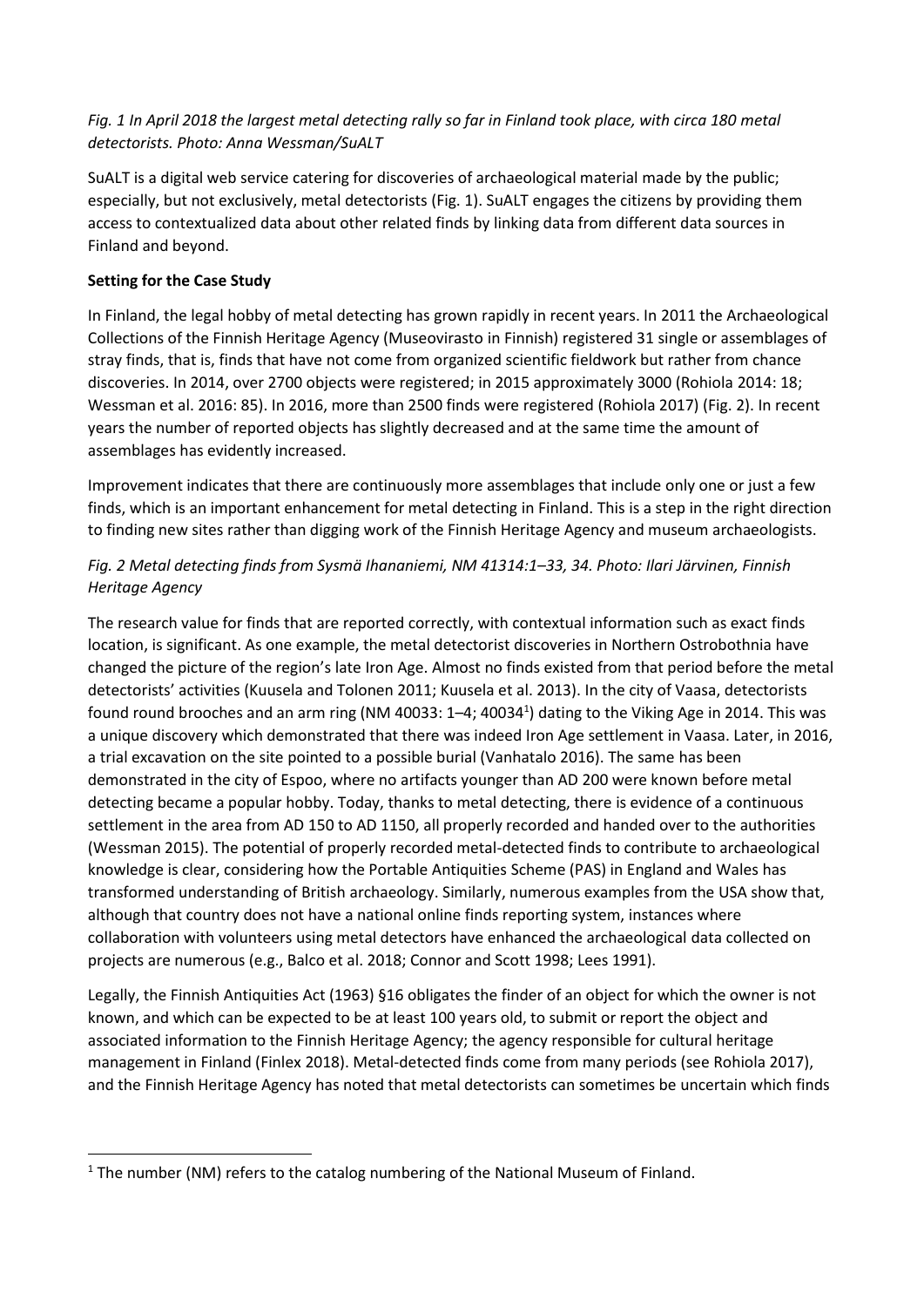# *Fig. 1 In April 2018 the largest metal detecting rally so far in Finland took place, with circa 180 metal detectorists. Photo: Anna Wessman/SuALT*

SuALT is a digital web service catering for discoveries of archaeological material made by the public; especially, but not exclusively, metal detectorists (Fig. 1). SuALT engages the citizens by providing them access to contextualized data about other related finds by linking data from different data sources in Finland and beyond.

# **Setting for the Case Study**

In Finland, the legal hobby of metal detecting has grown rapidly in recent years. In 2011 the Archaeological Collections of the Finnish Heritage Agency (Museovirasto in Finnish) registered 31 single or assemblages of stray finds, that is, finds that have not come from organized scientific fieldwork but rather from chance discoveries. In 2014, over 2700 objects were registered; in 2015 approximately 3000 (Rohiola 2014: 18; Wessman et al. 2016: 85). In 2016, more than 2500 finds were registered (Rohiola 2017) (Fig. 2). In recent years the number of reported objects has slightly decreased and at the same time the amount of assemblages has evidently increased.

Improvement indicates that there are continuously more assemblages that include only one or just a few finds, which is an important enhancement for metal detecting in Finland. This is a step in the right direction to finding new sites rather than digging work of the Finnish Heritage Agency and museum archaeologists.

# *Fig. 2 Metal detecting finds from Sysmä Ihananiemi, NM 41314:1–33, 34. Photo: Ilari Järvinen, Finnish Heritage Agency*

The research value for finds that are reported correctly, with contextual information such as exact finds location, is significant. As one example, the metal detectorist discoveries in Northern Ostrobothnia have changed the picture of the region's late Iron Age. Almost no finds existed from that period before the metal detectorists' activities (Kuusela and Tolonen 2011; Kuusela et al. 2013). In the city of Vaasa, detectorists found round brooches and an arm ring (NM 40033: 1-4; 40034<sup>1</sup>) dating to the Viking Age in 2014. This was a unique discovery which demonstrated that there was indeed Iron Age settlement in Vaasa. Later, in 2016, a trial excavation on the site pointed to a possible burial (Vanhatalo 2016). The same has been demonstrated in the city of Espoo, where no artifacts younger than AD 200 were known before metal detecting became a popular hobby. Today, thanks to metal detecting, there is evidence of a continuous settlement in the area from AD 150 to AD 1150, all properly recorded and handed over to the authorities (Wessman 2015). The potential of properly recorded metal-detected finds to contribute to archaeological knowledge is clear, considering how the Portable Antiquities Scheme (PAS) in England and Wales has transformed understanding of British archaeology. Similarly, numerous examples from the USA show that, although that country does not have a national online finds reporting system, instances where collaboration with volunteers using metal detectors have enhanced the archaeological data collected on projects are numerous (e.g., Balco et al. 2018; Connor and Scott 1998; Lees 1991).

Legally, the Finnish Antiquities Act (1963) §16 obligates the finder of an object for which the owner is not known, and which can be expected to be at least 100 years old, to submit or report the object and associated information to the Finnish Heritage Agency; the agency responsible for cultural heritage management in Finland (Finlex 2018). Metal-detected finds come from many periods (see Rohiola 2017), and the Finnish Heritage Agency has noted that metal detectorists can sometimes be uncertain which finds

**<sup>.</sup>**  $1$  The number (NM) refers to the catalog numbering of the National Museum of Finland.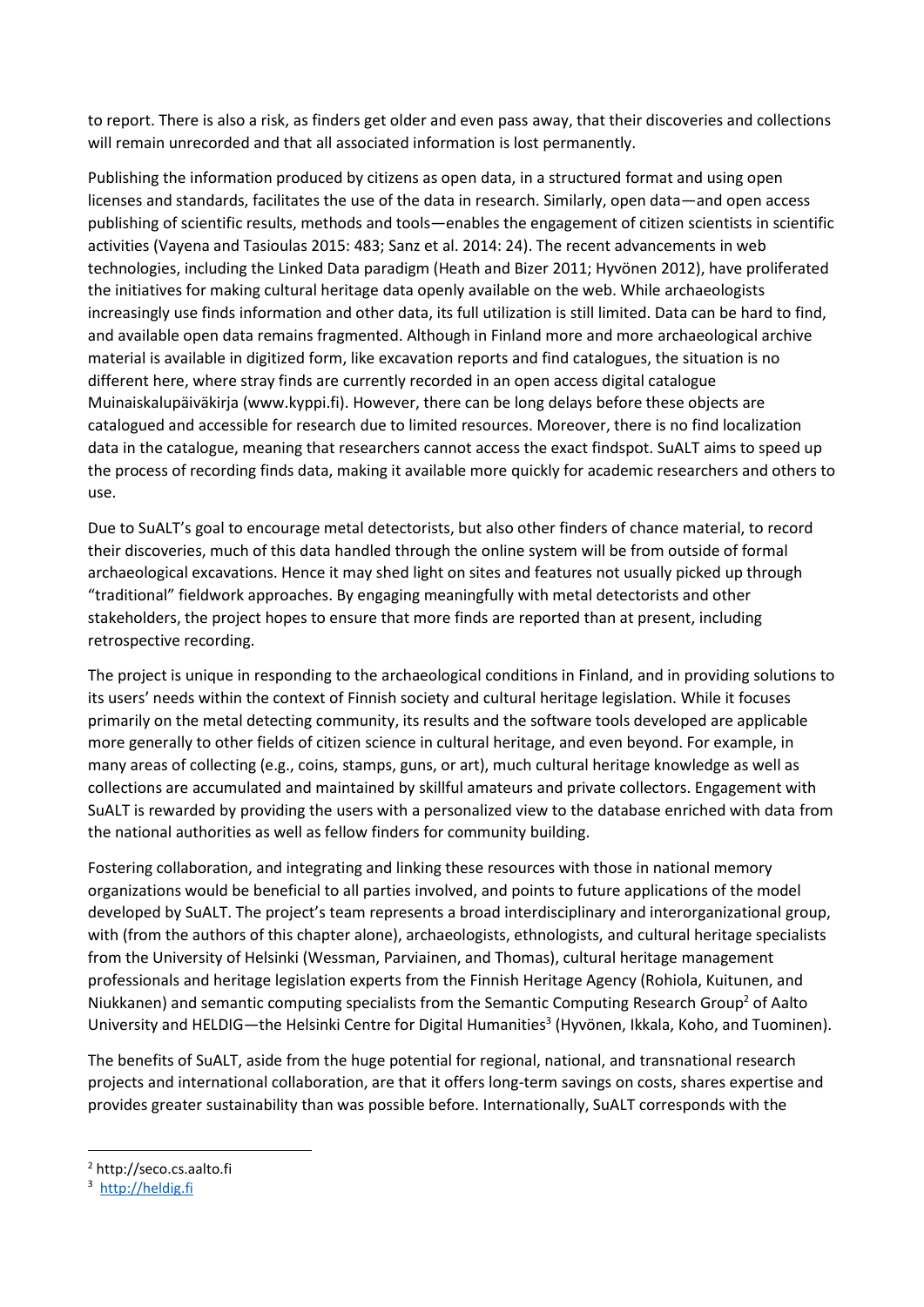to report. There is also a risk, as finders get older and even pass away, that their discoveries and collections will remain unrecorded and that all associated information is lost permanently.

Publishing the information produced by citizens as open data, in a structured format and using open licenses and standards, facilitates the use of the data in research. Similarly, open data—and open access publishing of scientific results, methods and tools—enables the engagement of citizen scientists in scientific activities (Vayena and Tasioulas 2015: 483; Sanz et al. 2014: 24). The recent advancements in web technologies, including the Linked Data paradigm (Heath and Bizer 2011; Hyvönen 2012), have proliferated the initiatives for making cultural heritage data openly available on the web. While archaeologists increasingly use finds information and other data, its full utilization is still limited. Data can be hard to find, and available open data remains fragmented. Although in Finland more and more archaeological archive material is available in digitized form, like excavation reports and find catalogues, the situation is no different here, where stray finds are currently recorded in an open access digital catalogue Muinaiskalupäiväkirja (www.kyppi.fi). However, there can be long delays before these objects are catalogued and accessible for research due to limited resources. Moreover, there is no find localization data in the catalogue, meaning that researchers cannot access the exact findspot. SuALT aims to speed up the process of recording finds data, making it available more quickly for academic researchers and others to use.

Due to SuALT's goal to encourage metal detectorists, but also other finders of chance material, to record their discoveries, much of this data handled through the online system will be from outside of formal archaeological excavations. Hence it may shed light on sites and features not usually picked up through "traditional" fieldwork approaches. By engaging meaningfully with metal detectorists and other stakeholders, the project hopes to ensure that more finds are reported than at present, including retrospective recording.

The project is unique in responding to the archaeological conditions in Finland, and in providing solutions to its users' needs within the context of Finnish society and cultural heritage legislation. While it focuses primarily on the metal detecting community, its results and the software tools developed are applicable more generally to other fields of citizen science in cultural heritage, and even beyond. For example, in many areas of collecting (e.g., coins, stamps, guns, or art), much cultural heritage knowledge as well as collections are accumulated and maintained by skillful amateurs and private collectors. Engagement with SuALT is rewarded by providing the users with a personalized view to the database enriched with data from the national authorities as well as fellow finders for community building.

Fostering collaboration, and integrating and linking these resources with those in national memory organizations would be beneficial to all parties involved, and points to future applications of the model developed by SuALT. The project's team represents a broad interdisciplinary and interorganizational group, with (from the authors of this chapter alone), archaeologists, ethnologists, and cultural heritage specialists from the University of Helsinki (Wessman, Parviainen, and Thomas), cultural heritage management professionals and heritage legislation experts from the Finnish Heritage Agency (Rohiola, Kuitunen, and Niukkanen) and semantic computing specialists from the Semantic Computing Research Group<sup>2</sup> of Aalto University and HELDIG-the Helsinki Centre for Digital Humanities<sup>3</sup> (Hyvönen, Ikkala, Koho, and Tuominen).

The benefits of SuALT, aside from the huge potential for regional, national, and transnational research projects and international collaboration, are that it offers long-term savings on costs, shares expertise and provides greater sustainability than was possible before. Internationally, SuALT corresponds with the

**.** 

<sup>2</sup> http://seco.cs.aalto.fi

<sup>3</sup> [http://heldig.fi](http://heldig.fi/)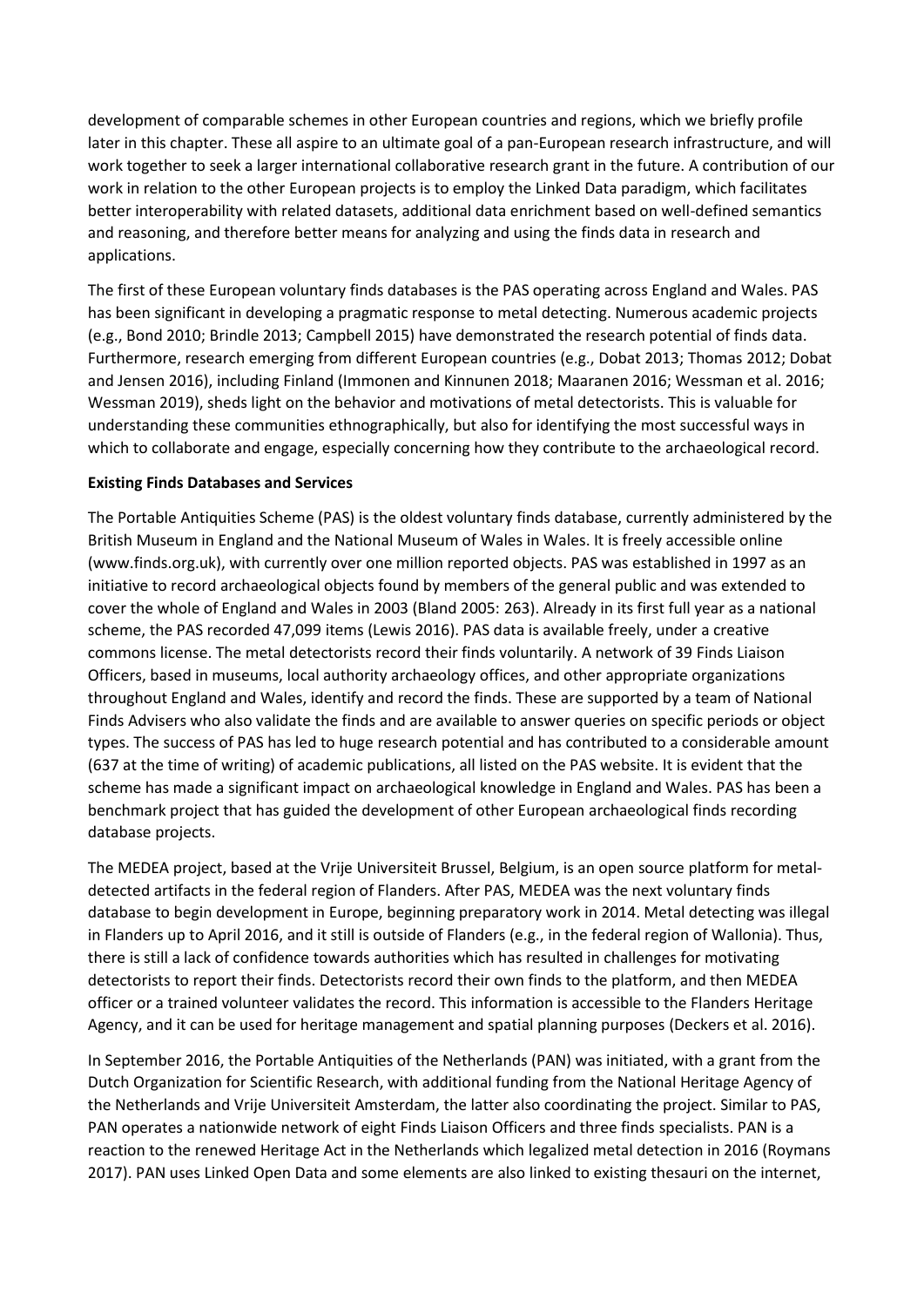development of comparable schemes in other European countries and regions, which we briefly profile later in this chapter. These all aspire to an ultimate goal of a pan-European research infrastructure, and will work together to seek a larger international collaborative research grant in the future. A contribution of our work in relation to the other European projects is to employ the Linked Data paradigm, which facilitates better interoperability with related datasets, additional data enrichment based on well-defined semantics and reasoning, and therefore better means for analyzing and using the finds data in research and applications.

The first of these European voluntary finds databases is the PAS operating across England and Wales. PAS has been significant in developing a pragmatic response to metal detecting. Numerous academic projects (e.g., Bond 2010; Brindle 2013; Campbell 2015) have demonstrated the research potential of finds data. Furthermore, research emerging from different European countries (e.g., Dobat 2013; Thomas 2012; Dobat and Jensen 2016), including Finland (Immonen and Kinnunen 2018; Maaranen 2016; Wessman et al. 2016; Wessman 2019), sheds light on the behavior and motivations of metal detectorists. This is valuable for understanding these communities ethnographically, but also for identifying the most successful ways in which to collaborate and engage, especially concerning how they contribute to the archaeological record.

## **Existing Finds Databases and Services**

The Portable Antiquities Scheme (PAS) is the oldest voluntary finds database, currently administered by the British Museum in England and the National Museum of Wales in Wales. It is freely accessible online (www.finds.org.uk), with currently over one million reported objects. PAS was established in 1997 as an initiative to record archaeological objects found by members of the general public and was extended to cover the whole of England and Wales in 2003 (Bland 2005: 263). Already in its first full year as a national scheme, the PAS recorded 47,099 items (Lewis 2016). PAS data is available freely, under a creative commons license. The metal detectorists record their finds voluntarily. A network of 39 Finds Liaison Officers, based in museums, local authority archaeology offices, and other appropriate organizations throughout England and Wales, identify and record the finds. These are supported by a team of National Finds Advisers who also validate the finds and are available to answer queries on specific periods or object types. The success of PAS has led to huge research potential and has contributed to a considerable amount (637 at the time of writing) of academic publications, all listed on the PAS website. It is evident that the scheme has made a significant impact on archaeological knowledge in England and Wales. PAS has been a benchmark project that has guided the development of other European archaeological finds recording database projects.

The MEDEA project, based at the Vrije Universiteit Brussel, Belgium, is an open source platform for metaldetected artifacts in the federal region of Flanders. After PAS, MEDEA was the next voluntary finds database to begin development in Europe, beginning preparatory work in 2014. Metal detecting was illegal in Flanders up to April 2016, and it still is outside of Flanders (e.g., in the federal region of Wallonia). Thus, there is still a lack of confidence towards authorities which has resulted in challenges for motivating detectorists to report their finds. Detectorists record their own finds to the platform, and then MEDEA officer or a trained volunteer validates the record. This information is accessible to the Flanders Heritage Agency, and it can be used for heritage management and spatial planning purposes (Deckers et al. 2016).

In September 2016, the Portable Antiquities of the Netherlands (PAN) was initiated, with a grant from the Dutch Organization for Scientific Research, with additional funding from the National Heritage Agency of the Netherlands and Vrije Universiteit Amsterdam, the latter also coordinating the project. Similar to PAS, PAN operates a nationwide network of eight Finds Liaison Officers and three finds specialists. PAN is a reaction to the renewed Heritage Act in the Netherlands which legalized metal detection in 2016 (Roymans 2017). PAN uses Linked Open Data and some elements are also linked to existing thesauri on the internet,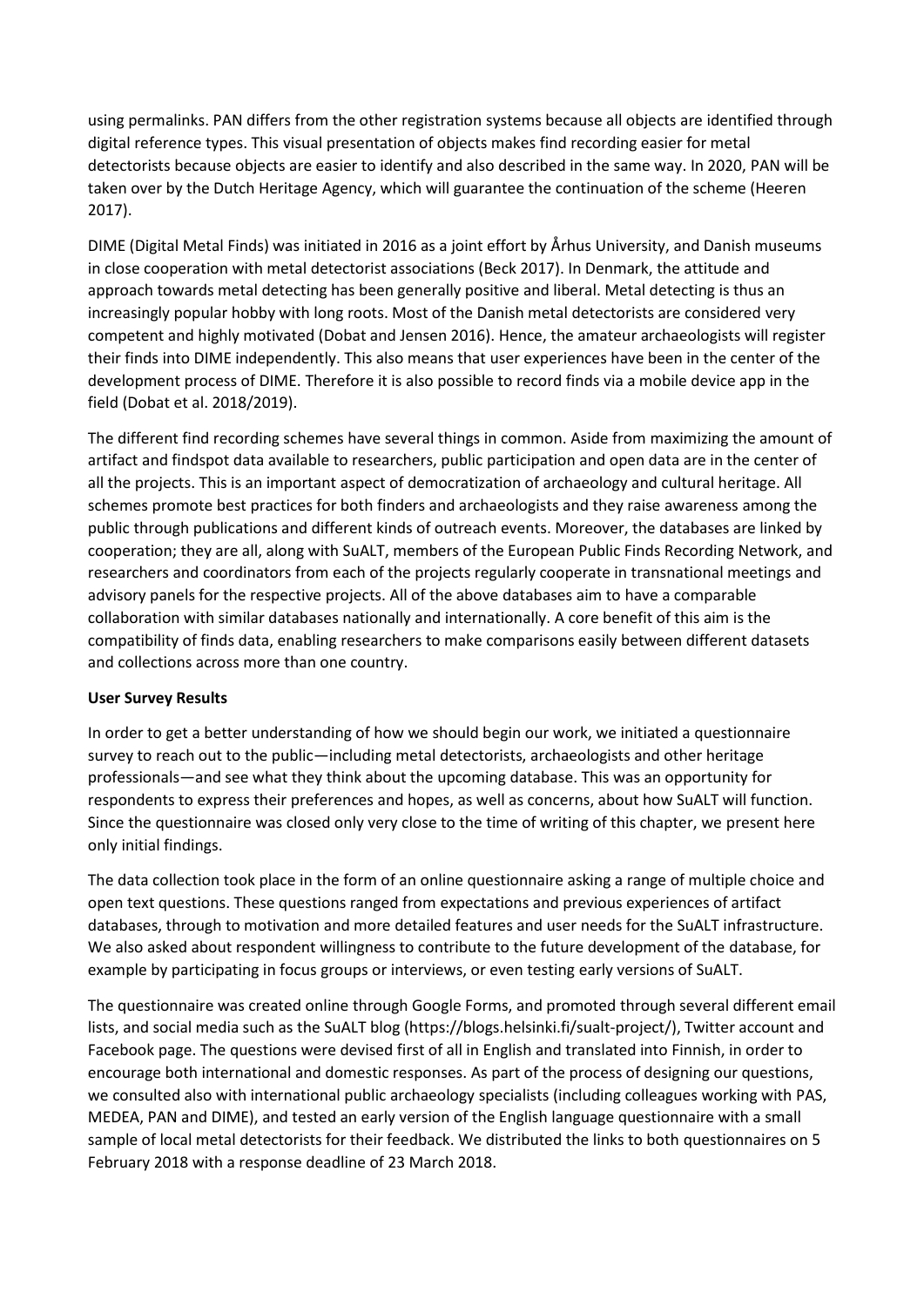using permalinks. PAN differs from the other registration systems because all objects are identified through digital reference types. This visual presentation of objects makes find recording easier for metal detectorists because objects are easier to identify and also described in the same way. In 2020, PAN will be taken over by the Dutch Heritage Agency, which will guarantee the continuation of the scheme (Heeren 2017).

DIME (Digital Metal Finds) was initiated in 2016 as a joint effort by Århus University, and Danish museums in close cooperation with metal detectorist associations (Beck 2017). In Denmark, the attitude and approach towards metal detecting has been generally positive and liberal. Metal detecting is thus an increasingly popular hobby with long roots. Most of the Danish metal detectorists are considered very competent and highly motivated (Dobat and Jensen 2016). Hence, the amateur archaeologists will register their finds into DIME independently. This also means that user experiences have been in the center of the development process of DIME. Therefore it is also possible to record finds via a mobile device app in the field (Dobat et al. 2018/2019).

The different find recording schemes have several things in common. Aside from maximizing the amount of artifact and findspot data available to researchers, public participation and open data are in the center of all the projects. This is an important aspect of democratization of archaeology and cultural heritage. All schemes promote best practices for both finders and archaeologists and they raise awareness among the public through publications and different kinds of outreach events. Moreover, the databases are linked by cooperation; they are all, along with SuALT, members of the European Public Finds Recording Network, and researchers and coordinators from each of the projects regularly cooperate in transnational meetings and advisory panels for the respective projects. All of the above databases aim to have a comparable collaboration with similar databases nationally and internationally. A core benefit of this aim is the compatibility of finds data, enabling researchers to make comparisons easily between different datasets and collections across more than one country.

#### **User Survey Results**

In order to get a better understanding of how we should begin our work, we initiated a questionnaire survey to reach out to the public—including metal detectorists, archaeologists and other heritage professionals—and see what they think about the upcoming database. This was an opportunity for respondents to express their preferences and hopes, as well as concerns, about how SuALT will function. Since the questionnaire was closed only very close to the time of writing of this chapter, we present here only initial findings.

The data collection took place in the form of an online questionnaire asking a range of multiple choice and open text questions. These questions ranged from expectations and previous experiences of artifact databases, through to motivation and more detailed features and user needs for the SuALT infrastructure. We also asked about respondent willingness to contribute to the future development of the database, for example by participating in focus groups or interviews, or even testing early versions of SuALT.

The questionnaire was created online through Google Forms, and promoted through several different email lists, and social media such as the SuALT blog (https://blogs.helsinki.fi/sualt-project/), Twitter account and Facebook page. The questions were devised first of all in English and translated into Finnish, in order to encourage both international and domestic responses. As part of the process of designing our questions, we consulted also with international public archaeology specialists (including colleagues working with PAS, MEDEA, PAN and DIME), and tested an early version of the English language questionnaire with a small sample of local metal detectorists for their feedback. We distributed the links to both questionnaires on 5 February 2018 with a response deadline of 23 March 2018.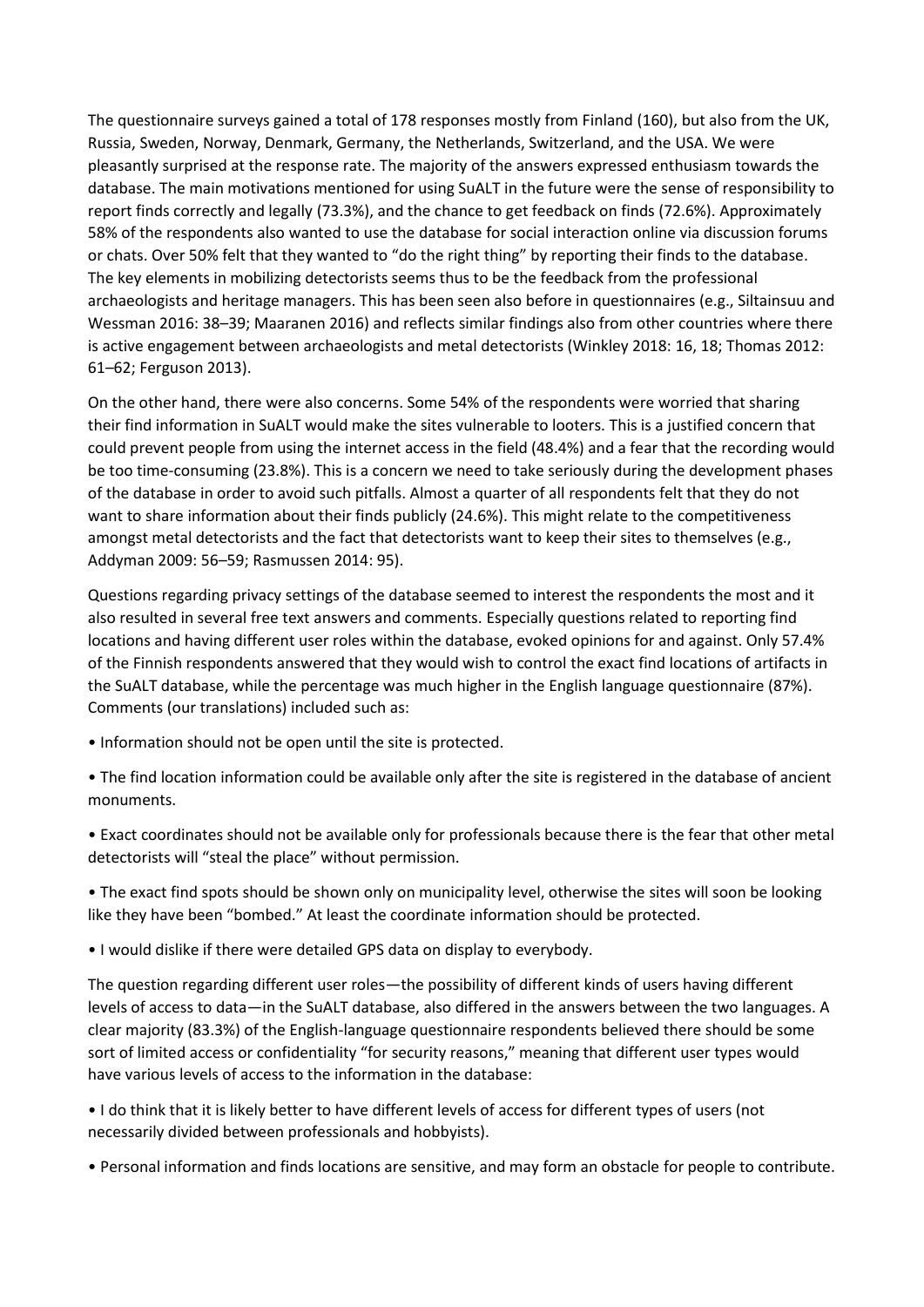The questionnaire surveys gained a total of 178 responses mostly from Finland (160), but also from the UK, Russia, Sweden, Norway, Denmark, Germany, the Netherlands, Switzerland, and the USA. We were pleasantly surprised at the response rate. The majority of the answers expressed enthusiasm towards the database. The main motivations mentioned for using SuALT in the future were the sense of responsibility to report finds correctly and legally (73.3%), and the chance to get feedback on finds (72.6%). Approximately 58% of the respondents also wanted to use the database for social interaction online via discussion forums or chats. Over 50% felt that they wanted to "do the right thing" by reporting their finds to the database. The key elements in mobilizing detectorists seems thus to be the feedback from the professional archaeologists and heritage managers. This has been seen also before in questionnaires (e.g., Siltainsuu and Wessman 2016: 38–39; Maaranen 2016) and reflects similar findings also from other countries where there is active engagement between archaeologists and metal detectorists (Winkley 2018: 16, 18; Thomas 2012: 61–62; Ferguson 2013).

On the other hand, there were also concerns. Some 54% of the respondents were worried that sharing their find information in SuALT would make the sites vulnerable to looters. This is a justified concern that could prevent people from using the internet access in the field (48.4%) and a fear that the recording would be too time-consuming (23.8%). This is a concern we need to take seriously during the development phases of the database in order to avoid such pitfalls. Almost a quarter of all respondents felt that they do not want to share information about their finds publicly (24.6%). This might relate to the competitiveness amongst metal detectorists and the fact that detectorists want to keep their sites to themselves (e.g., Addyman 2009: 56–59; Rasmussen 2014: 95).

Questions regarding privacy settings of the database seemed to interest the respondents the most and it also resulted in several free text answers and comments. Especially questions related to reporting find locations and having different user roles within the database, evoked opinions for and against. Only 57.4% of the Finnish respondents answered that they would wish to control the exact find locations of artifacts in the SuALT database, while the percentage was much higher in the English language questionnaire (87%). Comments (our translations) included such as:

• Information should not be open until the site is protected.

- The find location information could be available only after the site is registered in the database of ancient monuments.
- Exact coordinates should not be available only for professionals because there is the fear that other metal detectorists will "steal the place" without permission.

• The exact find spots should be shown only on municipality level, otherwise the sites will soon be looking like they have been "bombed." At least the coordinate information should be protected.

• I would dislike if there were detailed GPS data on display to everybody.

The question regarding different user roles—the possibility of different kinds of users having different levels of access to data—in the SuALT database, also differed in the answers between the two languages. A clear majority (83.3%) of the English-language questionnaire respondents believed there should be some sort of limited access or confidentiality "for security reasons," meaning that different user types would have various levels of access to the information in the database:

• I do think that it is likely better to have different levels of access for different types of users (not necessarily divided between professionals and hobbyists).

• Personal information and finds locations are sensitive, and may form an obstacle for people to contribute.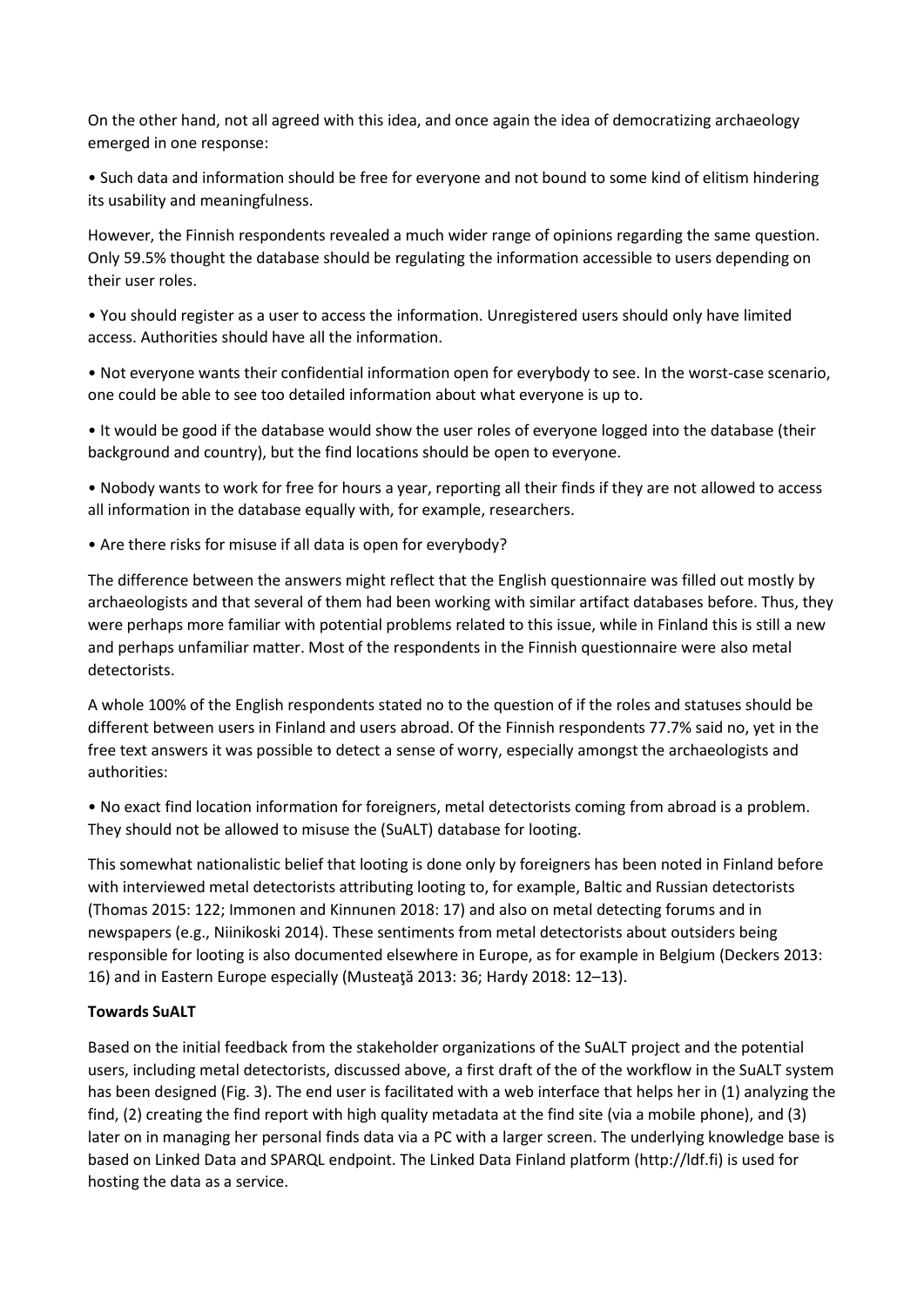On the other hand, not all agreed with this idea, and once again the idea of democratizing archaeology emerged in one response:

• Such data and information should be free for everyone and not bound to some kind of elitism hindering its usability and meaningfulness.

However, the Finnish respondents revealed a much wider range of opinions regarding the same question. Only 59.5% thought the database should be regulating the information accessible to users depending on their user roles.

• You should register as a user to access the information. Unregistered users should only have limited access. Authorities should have all the information.

• Not everyone wants their confidential information open for everybody to see. In the worst-case scenario, one could be able to see too detailed information about what everyone is up to.

• It would be good if the database would show the user roles of everyone logged into the database (their background and country), but the find locations should be open to everyone.

• Nobody wants to work for free for hours a year, reporting all their finds if they are not allowed to access all information in the database equally with, for example, researchers.

• Are there risks for misuse if all data is open for everybody?

The difference between the answers might reflect that the English questionnaire was filled out mostly by archaeologists and that several of them had been working with similar artifact databases before. Thus, they were perhaps more familiar with potential problems related to this issue, while in Finland this is still a new and perhaps unfamiliar matter. Most of the respondents in the Finnish questionnaire were also metal detectorists.

A whole 100% of the English respondents stated no to the question of if the roles and statuses should be different between users in Finland and users abroad. Of the Finnish respondents 77.7% said no, yet in the free text answers it was possible to detect a sense of worry, especially amongst the archaeologists and authorities:

• No exact find location information for foreigners, metal detectorists coming from abroad is a problem. They should not be allowed to misuse the (SuALT) database for looting.

This somewhat nationalistic belief that looting is done only by foreigners has been noted in Finland before with interviewed metal detectorists attributing looting to, for example, Baltic and Russian detectorists (Thomas 2015: 122; Immonen and Kinnunen 2018: 17) and also on metal detecting forums and in newspapers (e.g., Niinikoski 2014). These sentiments from metal detectorists about outsiders being responsible for looting is also documented elsewhere in Europe, as for example in Belgium (Deckers 2013: 16) and in Eastern Europe especially (Musteaţă 2013: 36; Hardy 2018: 12–13).

# **Towards SuALT**

Based on the initial feedback from the stakeholder organizations of the SuALT project and the potential users, including metal detectorists, discussed above, a first draft of the of the workflow in the SuALT system has been designed (Fig. 3). The end user is facilitated with a web interface that helps her in (1) analyzing the find, (2) creating the find report with high quality metadata at the find site (via a mobile phone), and (3) later on in managing her personal finds data via a PC with a larger screen. The underlying knowledge base is based on Linked Data and SPARQL endpoint. The Linked Data Finland platform (http://ldf.fi) is used for hosting the data as a service.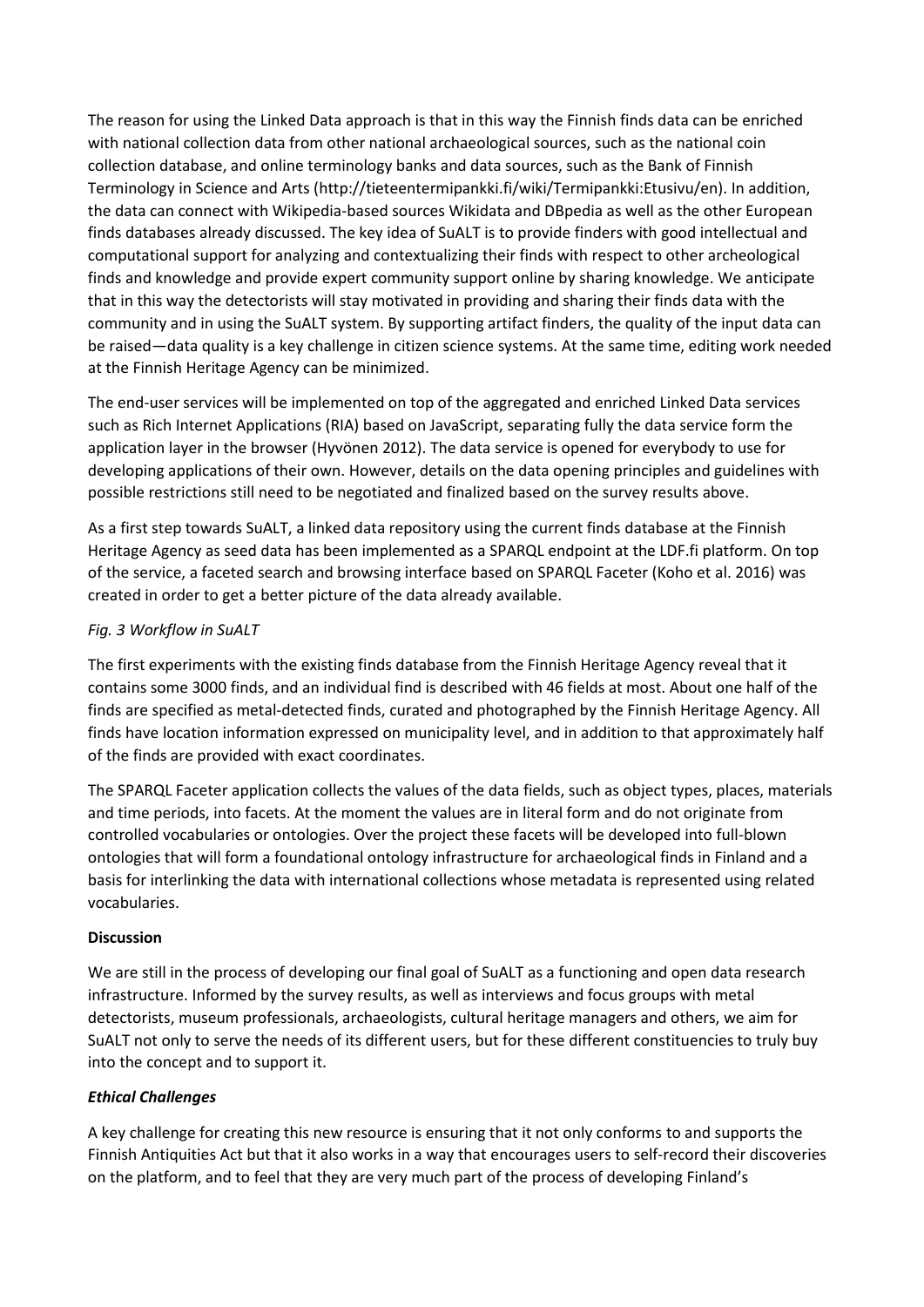The reason for using the Linked Data approach is that in this way the Finnish finds data can be enriched with national collection data from other national archaeological sources, such as the national coin collection database, and online terminology banks and data sources, such as the Bank of Finnish Terminology in Science and Arts (http://tieteentermipankki.fi/wiki/Termipankki:Etusivu/en). In addition, the data can connect with Wikipedia-based sources Wikidata and DBpedia as well as the other European finds databases already discussed. The key idea of SuALT is to provide finders with good intellectual and computational support for analyzing and contextualizing their finds with respect to other archeological finds and knowledge and provide expert community support online by sharing knowledge. We anticipate that in this way the detectorists will stay motivated in providing and sharing their finds data with the community and in using the SuALT system. By supporting artifact finders, the quality of the input data can be raised—data quality is a key challenge in citizen science systems. At the same time, editing work needed at the Finnish Heritage Agency can be minimized.

The end-user services will be implemented on top of the aggregated and enriched Linked Data services such as Rich Internet Applications (RIA) based on JavaScript, separating fully the data service form the application layer in the browser (Hyvönen 2012). The data service is opened for everybody to use for developing applications of their own. However, details on the data opening principles and guidelines with possible restrictions still need to be negotiated and finalized based on the survey results above.

As a first step towards SuALT, a linked data repository using the current finds database at the Finnish Heritage Agency as seed data has been implemented as a SPARQL endpoint at the LDF.fi platform. On top of the service, a faceted search and browsing interface based on SPARQL Faceter (Koho et al. 2016) was created in order to get a better picture of the data already available.

# *Fig. 3 Workflow in SuALT*

The first experiments with the existing finds database from the Finnish Heritage Agency reveal that it contains some 3000 finds, and an individual find is described with 46 fields at most. About one half of the finds are specified as metal-detected finds, curated and photographed by the Finnish Heritage Agency. All finds have location information expressed on municipality level, and in addition to that approximately half of the finds are provided with exact coordinates.

The SPARQL Faceter application collects the values of the data fields, such as object types, places, materials and time periods, into facets. At the moment the values are in literal form and do not originate from controlled vocabularies or ontologies. Over the project these facets will be developed into full-blown ontologies that will form a foundational ontology infrastructure for archaeological finds in Finland and a basis for interlinking the data with international collections whose metadata is represented using related vocabularies.

# **Discussion**

We are still in the process of developing our final goal of SuALT as a functioning and open data research infrastructure. Informed by the survey results, as well as interviews and focus groups with metal detectorists, museum professionals, archaeologists, cultural heritage managers and others, we aim for SuALT not only to serve the needs of its different users, but for these different constituencies to truly buy into the concept and to support it.

# *Ethical Challenges*

A key challenge for creating this new resource is ensuring that it not only conforms to and supports the Finnish Antiquities Act but that it also works in a way that encourages users to self-record their discoveries on the platform, and to feel that they are very much part of the process of developing Finland's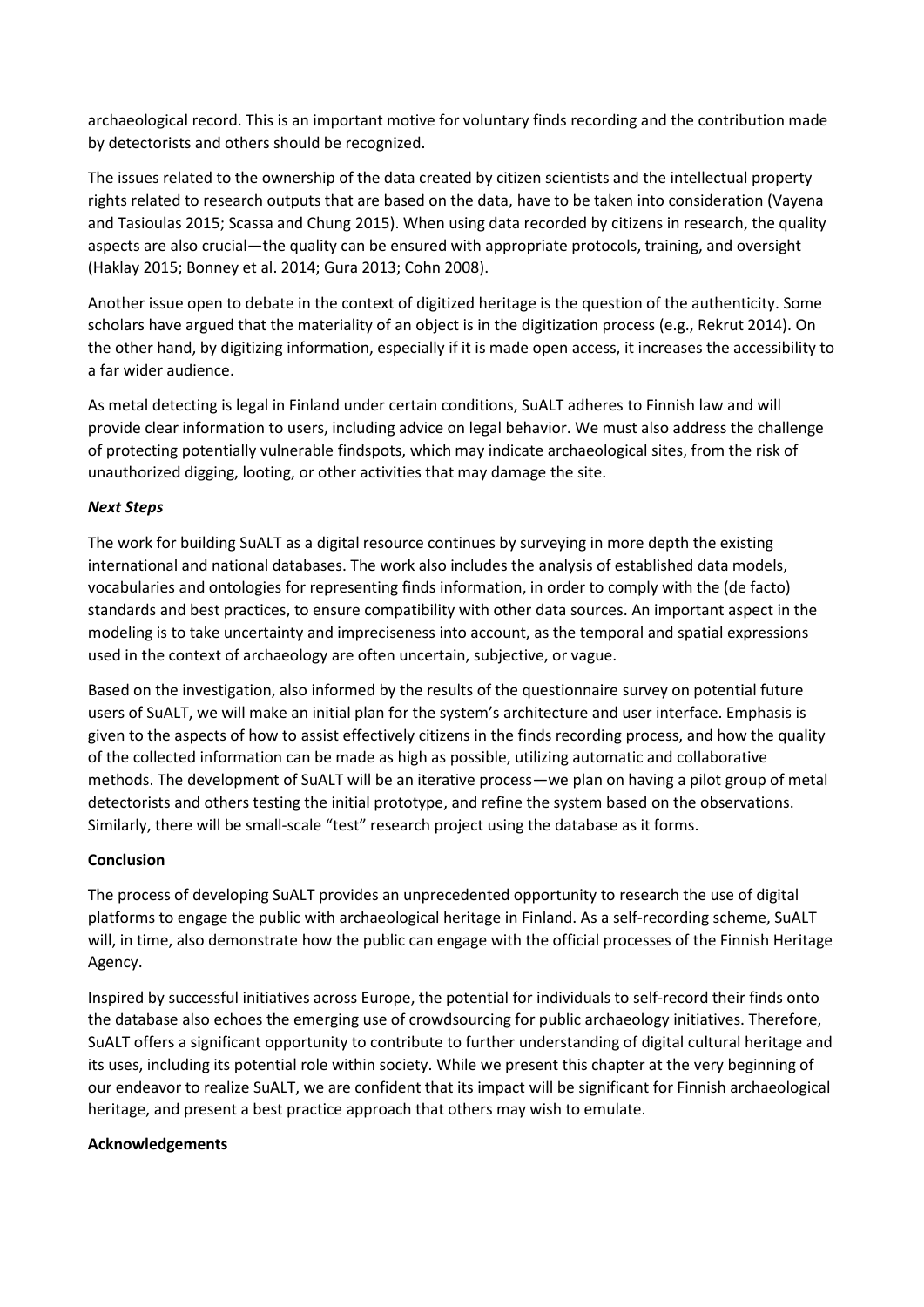archaeological record. This is an important motive for voluntary finds recording and the contribution made by detectorists and others should be recognized.

The issues related to the ownership of the data created by citizen scientists and the intellectual property rights related to research outputs that are based on the data, have to be taken into consideration (Vayena and Tasioulas 2015; Scassa and Chung 2015). When using data recorded by citizens in research, the quality aspects are also crucial—the quality can be ensured with appropriate protocols, training, and oversight (Haklay 2015; Bonney et al. 2014; Gura 2013; Cohn 2008).

Another issue open to debate in the context of digitized heritage is the question of the authenticity. Some scholars have argued that the materiality of an object is in the digitization process (e.g., Rekrut 2014). On the other hand, by digitizing information, especially if it is made open access, it increases the accessibility to a far wider audience.

As metal detecting is legal in Finland under certain conditions, SuALT adheres to Finnish law and will provide clear information to users, including advice on legal behavior. We must also address the challenge of protecting potentially vulnerable findspots, which may indicate archaeological sites, from the risk of unauthorized digging, looting, or other activities that may damage the site.

# *Next Steps*

The work for building SuALT as a digital resource continues by surveying in more depth the existing international and national databases. The work also includes the analysis of established data models, vocabularies and ontologies for representing finds information, in order to comply with the (de facto) standards and best practices, to ensure compatibility with other data sources. An important aspect in the modeling is to take uncertainty and impreciseness into account, as the temporal and spatial expressions used in the context of archaeology are often uncertain, subjective, or vague.

Based on the investigation, also informed by the results of the questionnaire survey on potential future users of SuALT, we will make an initial plan for the system's architecture and user interface. Emphasis is given to the aspects of how to assist effectively citizens in the finds recording process, and how the quality of the collected information can be made as high as possible, utilizing automatic and collaborative methods. The development of SuALT will be an iterative process—we plan on having a pilot group of metal detectorists and others testing the initial prototype, and refine the system based on the observations. Similarly, there will be small-scale "test" research project using the database as it forms.

# **Conclusion**

The process of developing SuALT provides an unprecedented opportunity to research the use of digital platforms to engage the public with archaeological heritage in Finland. As a self-recording scheme, SuALT will, in time, also demonstrate how the public can engage with the official processes of the Finnish Heritage Agency.

Inspired by successful initiatives across Europe, the potential for individuals to self-record their finds onto the database also echoes the emerging use of crowdsourcing for public archaeology initiatives. Therefore, SuALT offers a significant opportunity to contribute to further understanding of digital cultural heritage and its uses, including its potential role within society. While we present this chapter at the very beginning of our endeavor to realize SuALT, we are confident that its impact will be significant for Finnish archaeological heritage, and present a best practice approach that others may wish to emulate.

# **Acknowledgements**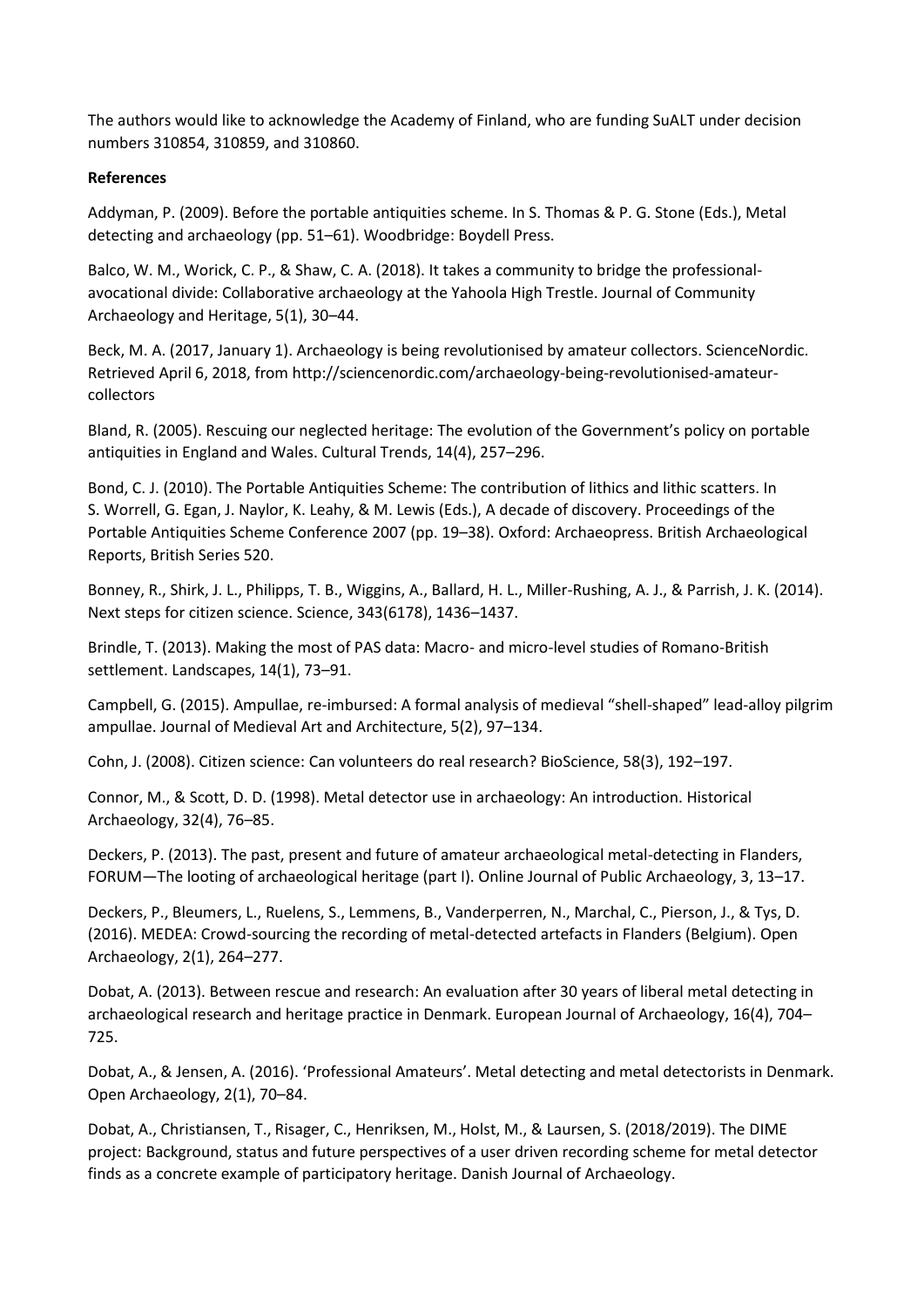The authors would like to acknowledge the Academy of Finland, who are funding SuALT under decision numbers 310854, 310859, and 310860.

## **References**

Addyman, P. (2009). Before the portable antiquities scheme. In S. Thomas & P. G. Stone (Eds.), Metal detecting and archaeology (pp. 51–61). Woodbridge: Boydell Press.

Balco, W. M., Worick, C. P., & Shaw, C. A. (2018). It takes a community to bridge the professionalavocational divide: Collaborative archaeology at the Yahoola High Trestle. Journal of Community Archaeology and Heritage, 5(1), 30–44.

Beck, M. A. (2017, January 1). Archaeology is being revolutionised by amateur collectors. ScienceNordic. Retrieved April 6, 2018, from http://sciencenordic.com/archaeology-being-revolutionised-amateurcollectors

Bland, R. (2005). Rescuing our neglected heritage: The evolution of the Government's policy on portable antiquities in England and Wales. Cultural Trends, 14(4), 257–296.

Bond, C. J. (2010). The Portable Antiquities Scheme: The contribution of lithics and lithic scatters. In S. Worrell, G. Egan, J. Naylor, K. Leahy, & M. Lewis (Eds.), A decade of discovery. Proceedings of the Portable Antiquities Scheme Conference 2007 (pp. 19–38). Oxford: Archaeopress. British Archaeological Reports, British Series 520.

Bonney, R., Shirk, J. L., Philipps, T. B., Wiggins, A., Ballard, H. L., Miller-Rushing, A. J., & Parrish, J. K. (2014). Next steps for citizen science. Science, 343(6178), 1436–1437.

Brindle, T. (2013). Making the most of PAS data: Macro- and micro-level studies of Romano-British settlement. Landscapes, 14(1), 73–91.

Campbell, G. (2015). Ampullae, re-imbursed: A formal analysis of medieval "shell-shaped" lead-alloy pilgrim ampullae. Journal of Medieval Art and Architecture, 5(2), 97–134.

Cohn, J. (2008). Citizen science: Can volunteers do real research? BioScience, 58(3), 192–197.

Connor, M., & Scott, D. D. (1998). Metal detector use in archaeology: An introduction. Historical Archaeology, 32(4), 76–85.

Deckers, P. (2013). The past, present and future of amateur archaeological metal-detecting in Flanders, FORUM—The looting of archaeological heritage (part I). Online Journal of Public Archaeology, 3, 13–17.

Deckers, P., Bleumers, L., Ruelens, S., Lemmens, B., Vanderperren, N., Marchal, C., Pierson, J., & Tys, D. (2016). MEDEA: Crowd-sourcing the recording of metal-detected artefacts in Flanders (Belgium). Open Archaeology, 2(1), 264–277.

Dobat, A. (2013). Between rescue and research: An evaluation after 30 years of liberal metal detecting in archaeological research and heritage practice in Denmark. European Journal of Archaeology, 16(4), 704– 725.

Dobat, A., & Jensen, A. (2016). 'Professional Amateurs'. Metal detecting and metal detectorists in Denmark. Open Archaeology, 2(1), 70–84.

Dobat, A., Christiansen, T., Risager, C., Henriksen, M., Holst, M., & Laursen, S. (2018/2019). The DIME project: Background, status and future perspectives of a user driven recording scheme for metal detector finds as a concrete example of participatory heritage. Danish Journal of Archaeology.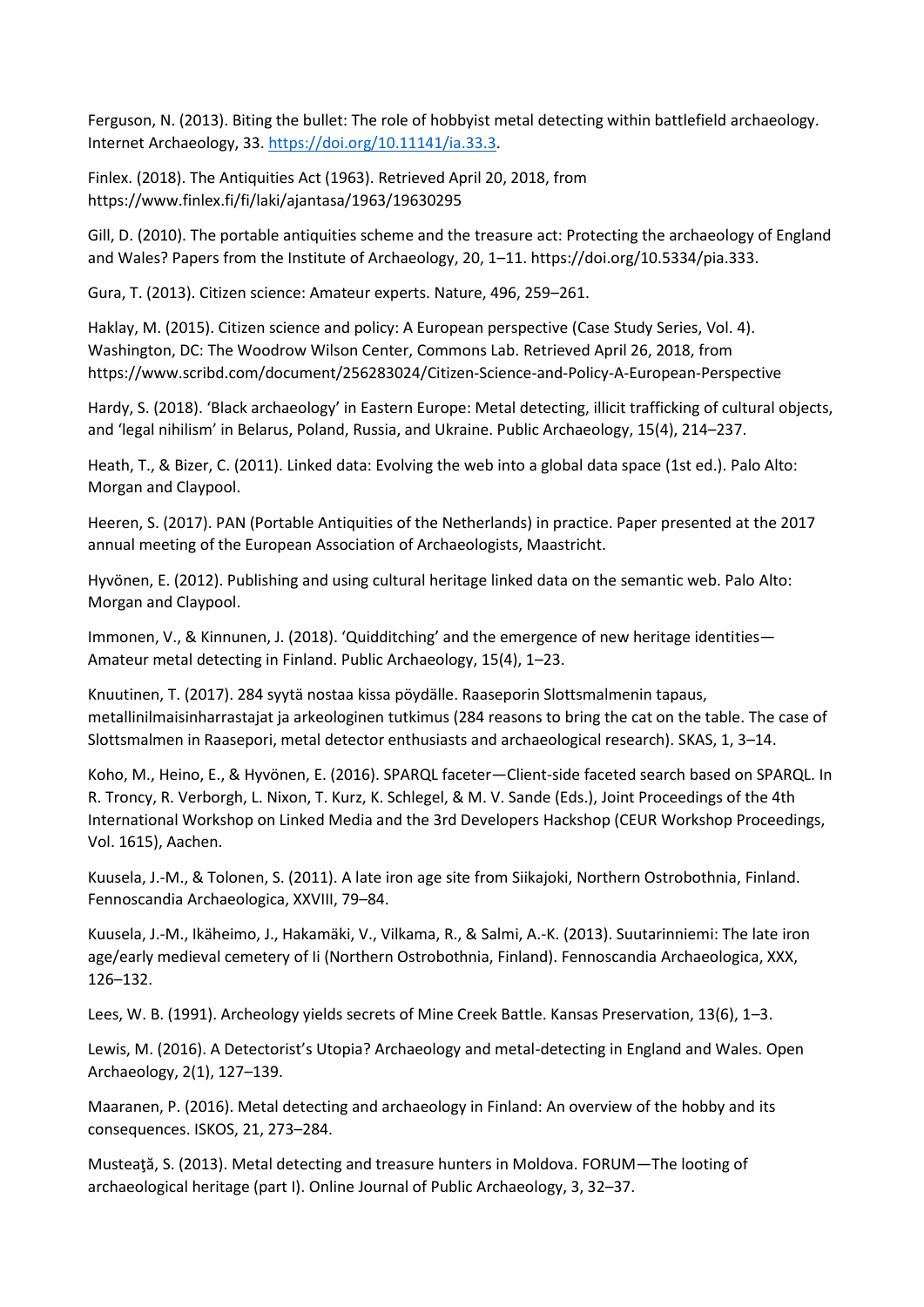Ferguson, N. (2013). Biting the bullet: The role of hobbyist metal detecting within battlefield archaeology. Internet Archaeology, 33. [https://doi.org/10.11141/ia.33.3.](https://doi.org/10.11141/ia.33.3)

Finlex. (2018). The Antiquities Act (1963). Retrieved April 20, 2018, from https://www.finlex.fi/fi/laki/ajantasa/1963/19630295

Gill, D. (2010). The portable antiquities scheme and the treasure act: Protecting the archaeology of England and Wales? Papers from the Institute of Archaeology, 20, 1–11. https://doi.org/10.5334/pia.333.

Gura, T. (2013). Citizen science: Amateur experts. Nature, 496, 259–261.

Haklay, M. (2015). Citizen science and policy: A European perspective (Case Study Series, Vol. 4). Washington, DC: The Woodrow Wilson Center, Commons Lab. Retrieved April 26, 2018, from https://www.scribd.com/document/256283024/Citizen-Science-and-Policy-A-European-Perspective

Hardy, S. (2018). 'Black archaeology' in Eastern Europe: Metal detecting, illicit trafficking of cultural objects, and 'legal nihilism' in Belarus, Poland, Russia, and Ukraine. Public Archaeology, 15(4), 214–237.

Heath, T., & Bizer, C. (2011). Linked data: Evolving the web into a global data space (1st ed.). Palo Alto: Morgan and Claypool.

Heeren, S. (2017). PAN (Portable Antiquities of the Netherlands) in practice. Paper presented at the 2017 annual meeting of the European Association of Archaeologists, Maastricht.

Hyvönen, E. (2012). Publishing and using cultural heritage linked data on the semantic web. Palo Alto: Morgan and Claypool.

Immonen, V., & Kinnunen, J. (2018). 'Quidditching' and the emergence of new heritage identities— Amateur metal detecting in Finland. Public Archaeology, 15(4), 1–23.

Knuutinen, T. (2017). 284 syytä nostaa kissa pöydälle. Raaseporin Slottsmalmenin tapaus, metallinilmaisinharrastajat ja arkeologinen tutkimus (284 reasons to bring the cat on the table. The case of Slottsmalmen in Raasepori, metal detector enthusiasts and archaeological research). SKAS, 1, 3–14.

Koho, M., Heino, E., & Hyvönen, E. (2016). SPARQL faceter—Client-side faceted search based on SPARQL. In R. Troncy, R. Verborgh, L. Nixon, T. Kurz, K. Schlegel, & M. V. Sande (Eds.), Joint Proceedings of the 4th International Workshop on Linked Media and the 3rd Developers Hackshop (CEUR Workshop Proceedings, Vol. 1615), Aachen.

Kuusela, J.-M., & Tolonen, S. (2011). A late iron age site from Siikajoki, Northern Ostrobothnia, Finland. Fennoscandia Archaeologica, XXVIII, 79–84.

Kuusela, J.-M., Ikäheimo, J., Hakamäki, V., Vilkama, R., & Salmi, A.-K. (2013). Suutarinniemi: The late iron age/early medieval cemetery of Ii (Northern Ostrobothnia, Finland). Fennoscandia Archaeologica, XXX, 126–132.

Lees, W. B. (1991). Archeology yields secrets of Mine Creek Battle. Kansas Preservation, 13(6), 1–3.

Lewis, M. (2016). A Detectorist's Utopia? Archaeology and metal-detecting in England and Wales. Open Archaeology, 2(1), 127–139.

Maaranen, P. (2016). Metal detecting and archaeology in Finland: An overview of the hobby and its consequences. ISKOS, 21, 273–284.

Musteaţă, S. (2013). Metal detecting and treasure hunters in Moldova. FORUM—The looting of archaeological heritage (part I). Online Journal of Public Archaeology, 3, 32–37.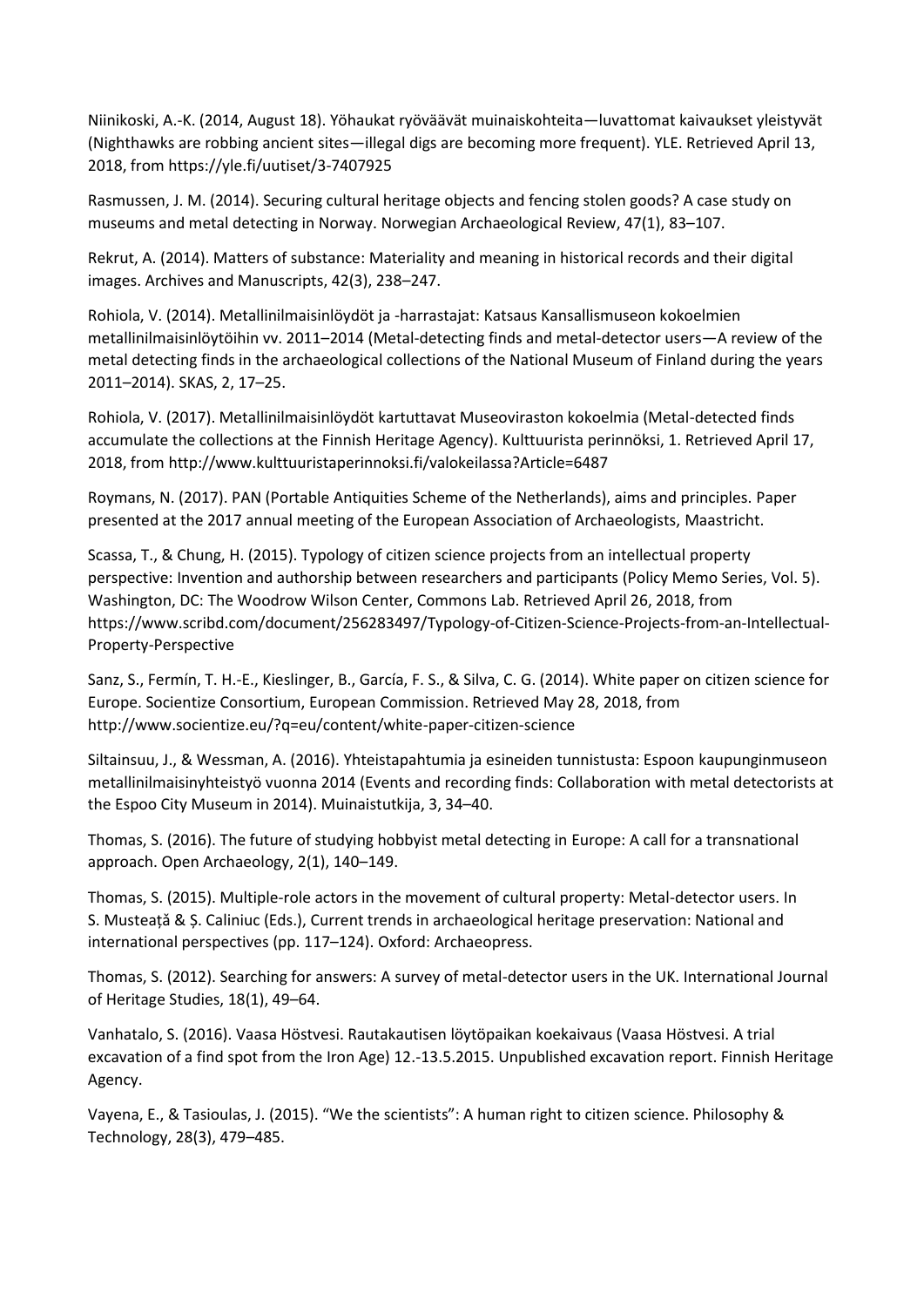Niinikoski, A.-K. (2014, August 18). Yöhaukat ryöväävät muinaiskohteita—luvattomat kaivaukset yleistyvät (Nighthawks are robbing ancient sites—illegal digs are becoming more frequent). YLE. Retrieved April 13, 2018, from https://yle.fi/uutiset/3-7407925

Rasmussen, J. M. (2014). Securing cultural heritage objects and fencing stolen goods? A case study on museums and metal detecting in Norway. Norwegian Archaeological Review, 47(1), 83–107.

Rekrut, A. (2014). Matters of substance: Materiality and meaning in historical records and their digital images. Archives and Manuscripts, 42(3), 238–247.

Rohiola, V. (2014). Metallinilmaisinlöydöt ja -harrastajat: Katsaus Kansallismuseon kokoelmien metallinilmaisinlöytöihin vv. 2011–2014 (Metal-detecting finds and metal-detector users—A review of the metal detecting finds in the archaeological collections of the National Museum of Finland during the years 2011–2014). SKAS, 2, 17–25.

Rohiola, V. (2017). Metallinilmaisinlöydöt kartuttavat Museoviraston kokoelmia (Metal-detected finds accumulate the collections at the Finnish Heritage Agency). Kulttuurista perinnöksi, 1. Retrieved April 17, 2018, from http://www.kulttuuristaperinnoksi.fi/valokeilassa?Article=6487

Roymans, N. (2017). PAN (Portable Antiquities Scheme of the Netherlands), aims and principles. Paper presented at the 2017 annual meeting of the European Association of Archaeologists, Maastricht.

Scassa, T., & Chung, H. (2015). Typology of citizen science projects from an intellectual property perspective: Invention and authorship between researchers and participants (Policy Memo Series, Vol. 5). Washington, DC: The Woodrow Wilson Center, Commons Lab. Retrieved April 26, 2018, from https://www.scribd.com/document/256283497/Typology-of-Citizen-Science-Projects-from-an-Intellectual-Property-Perspective

Sanz, S., Fermín, T. H.-E., Kieslinger, B., García, F. S., & Silva, C. G. (2014). White paper on citizen science for Europe. Socientize Consortium, European Commission. Retrieved May 28, 2018, from http://www.socientize.eu/?q=eu/content/white-paper-citizen-science

Siltainsuu, J., & Wessman, A. (2016). Yhteistapahtumia ja esineiden tunnistusta: Espoon kaupunginmuseon metallinilmaisinyhteistyö vuonna 2014 (Events and recording finds: Collaboration with metal detectorists at the Espoo City Museum in 2014). Muinaistutkija, 3, 34–40.

Thomas, S. (2016). The future of studying hobbyist metal detecting in Europe: A call for a transnational approach. Open Archaeology, 2(1), 140–149.

Thomas, S. (2015). Multiple-role actors in the movement of cultural property: Metal-detector users. In S. Musteațǎ & Ș. Caliniuc (Eds.), Current trends in archaeological heritage preservation: National and international perspectives (pp. 117–124). Oxford: Archaeopress.

Thomas, S. (2012). Searching for answers: A survey of metal-detector users in the UK. International Journal of Heritage Studies, 18(1), 49–64.

Vanhatalo, S. (2016). Vaasa Höstvesi. Rautakautisen löytöpaikan koekaivaus (Vaasa Höstvesi. A trial excavation of a find spot from the Iron Age) 12.-13.5.2015. Unpublished excavation report. Finnish Heritage Agency.

Vayena, E., & Tasioulas, J. (2015). "We the scientists": A human right to citizen science. Philosophy & Technology, 28(3), 479–485.